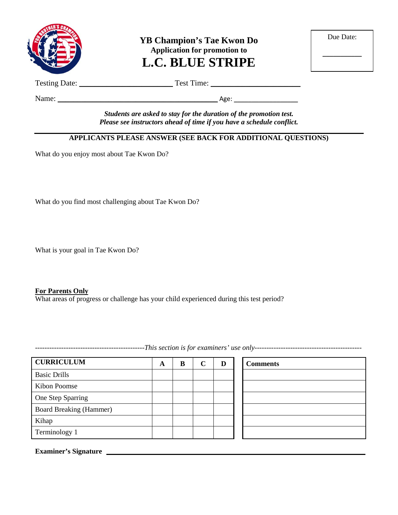

**YB Champion's Tae Kwon Do Application for promotion to L.C. BLUE STRIPE**

| Due Date: |  |
|-----------|--|
|           |  |
|           |  |

Testing Date: \_\_\_\_\_\_\_\_\_\_\_\_\_\_\_\_\_\_\_\_\_\_\_\_ Test Time: \_\_\_\_\_\_\_\_\_\_\_\_\_\_\_\_\_\_\_\_\_\_\_

Name: \_\_\_\_\_\_\_\_\_\_\_\_\_\_\_\_\_\_\_\_\_\_\_\_\_\_\_\_\_\_\_\_\_\_\_\_\_\_\_\_\_ Age: \_\_\_\_\_\_\_\_\_\_\_\_\_\_\_\_\_\_

*Students are asked to stay for the duration of the promotion test. Please see instructors ahead of time if you have a schedule conflict.*

## **APPLICANTS PLEASE ANSWER (SEE BACK FOR ADDITIONAL QUESTIONS)**

What do you enjoy most about Tae Kwon Do?

What do you find most challenging about Tae Kwon Do?

What is your goal in Tae Kwon Do?

### **For Parents Only**

What areas of progress or challenge has your child experienced during this test period?

**CURRICULUM A B C D Comments** Basic Drills Kibon Poomse One Step Sparring Board Breaking (Hammer) Kihap Terminology 1

**Examiner's Signature**

----------------------------------------------*This section is for examiners' use only---------------------------------------------*